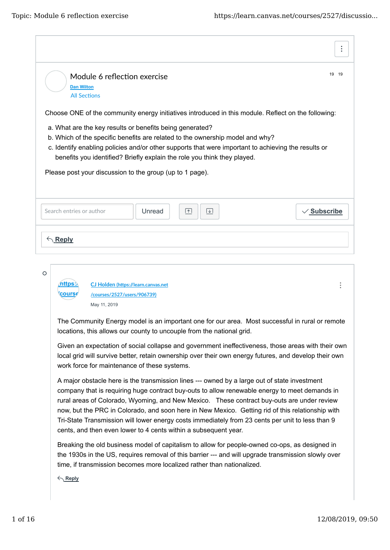|                                                                                                                                                                                                                                                                                                                                                                                                                                     | ÷                |
|-------------------------------------------------------------------------------------------------------------------------------------------------------------------------------------------------------------------------------------------------------------------------------------------------------------------------------------------------------------------------------------------------------------------------------------|------------------|
| Module 6 reflection exercise<br><b>Dan Wilton</b><br><b>All Sections</b>                                                                                                                                                                                                                                                                                                                                                            | 19 19            |
| Choose ONE of the community energy initiatives introduced in this module. Reflect on the following:<br>a. What are the key results or benefits being generated?<br>b. Which of the specific benefits are related to the ownership model and why?<br>c. Identify enabling policies and/or other supports that were important to achieving the results or<br>benefits you identified? Briefly explain the role you think they played. |                  |
| Please post your discussion to the group (up to 1 page).                                                                                                                                                                                                                                                                                                                                                                            |                  |
| Search entries or author<br>Unread<br>$\boxed{\uparrow}$<br>$ \downarrow $                                                                                                                                                                                                                                                                                                                                                          | $\vee$ Subscribe |
| $\bigwedge$ Reply                                                                                                                                                                                                                                                                                                                                                                                                                   |                  |
| O<br>https:/<br>CJ Holden (https://learn.canvas.net<br><b>course</b><br>/courses/2527/users/906739)<br>May 11, 2019                                                                                                                                                                                                                                                                                                                 |                  |
| The Community Energy model is an important one for our area. Most successful in rural or remote<br>locations, this allows our county to uncouple from the national grid.                                                                                                                                                                                                                                                            |                  |

Given an expectation of social collapse and government ineffectiveness, those areas with their own local grid will survive better, retain ownership over their own energy futures, and develop their own work force for maintenance of these systems.

A major obstacle here is the transmission lines --- owned by a large out of state investment company that is requiring huge contract buy-outs to allow renewable energy to meet demands in rural areas of Colorado, Wyoming, and New Mexico. These contract buy-outs are under review now, but the PRC in Colorado, and soon here in New Mexico. Getting rid of this relationship with Tri-State Transmission will lower energy costs immediately from 23 cents per unit to less than 9 cents, and then even lower to 4 cents within a subsequent year.

Breaking the old business model of capitalism to allow for people-owned co-ops, as designed in the 1930s in the US, requires removal of this barrier --- and will upgrade transmission slowly over time, if transmission becomes more localized rather than nationalized.

**Reply**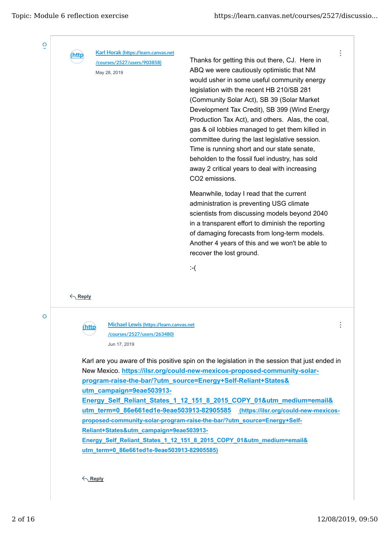$\ddot{\phantom{a}}$ 



O

**(https://learn.canvas.net Karl Horak (h�ps://learn.canvas.net /courses/2527/users/903858)**

May 28, 2019

Thanks for getting this out there, CJ. Here in ABQ we were cautiously optimistic that NM would usher in some useful community energy legislation with the recent HB 210/SB 281 (Community Solar Act), SB 39 (Solar Market Development Tax Credit), SB 399 (Wind Energy Production Tax Act), and others. Alas, the coal, gas & oil lobbies managed to get them killed in committee during the last legislative session. Time is running short and our state senate, beholden to the fossil fuel industry, has sold away 2 critical years to deal with increasing CO2 emissions.

Meanwhile, today I read that the current administration is preventing USG climate scientists from discussing models beyond 2040 in a transparent effort to diminish the reporting of damaging forecasts from long-term models. Another 4 years of this and we won't be able to recover the lost ground.

:-(

**Reply**

 $\overline{O}$ 

**(https://learn.canvas.net Michael Lewis (h�ps://learn.canvas.net /courses /courses/2527/users/263480)** Jun 17, 2019

Karl are you aware of this positive spin on the legislation in the session that just ended in New Mexico. **https://ilsr.org/could-new-mexicos-proposed-community-solarprogram-raise-the-bar/?utm\_source=Energy+Self-Reliant+States& utm\_campaign=9eae503913- Energy\_Self\_Reliant\_States\_1\_12\_151\_8\_2015\_COPY\_01&utm\_medium=email&** utm\_term=0\_86e661ed1e-9eae503913-82905585 (https://ilsr.org/could-new-mexicos**proposed-community-solar-program-raise-the-bar/?utm\_source=Energy+Self-Reliant+States&utm\_campaign=9eae503913- Energy\_Self\_Reliant\_States\_1\_12\_151\_8\_2015\_COPY\_01&utm\_medium=email& utm\_term=0\_86e661ed1e-9eae503913-82905585)**

**Reply**

 $\vdots$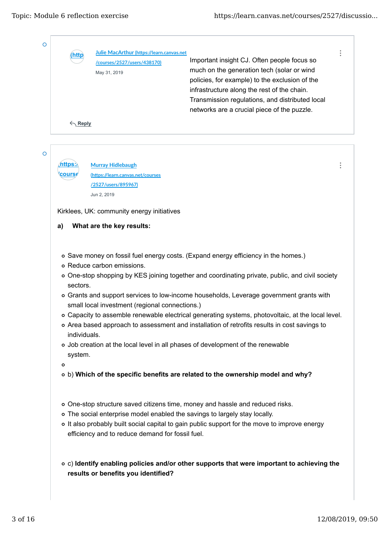| <b>http</b>             | Julie MacArthur (https://learn.canvas.net                                  |                                                                                                                                                                                                                                                                                                                                                                                 |
|-------------------------|----------------------------------------------------------------------------|---------------------------------------------------------------------------------------------------------------------------------------------------------------------------------------------------------------------------------------------------------------------------------------------------------------------------------------------------------------------------------|
|                         | /courses/2527/users/438170)                                                | Important insight CJ. Often people focus so                                                                                                                                                                                                                                                                                                                                     |
|                         | May 31, 2019                                                               | much on the generation tech (solar or wind                                                                                                                                                                                                                                                                                                                                      |
|                         |                                                                            | policies, for example) to the exclusion of the                                                                                                                                                                                                                                                                                                                                  |
|                         |                                                                            | infrastructure along the rest of the chain.                                                                                                                                                                                                                                                                                                                                     |
|                         |                                                                            | Transmission regulations, and distributed local                                                                                                                                                                                                                                                                                                                                 |
|                         |                                                                            | networks are a crucial piece of the puzzle.                                                                                                                                                                                                                                                                                                                                     |
| $\leftarrow$ Reply      |                                                                            |                                                                                                                                                                                                                                                                                                                                                                                 |
|                         |                                                                            |                                                                                                                                                                                                                                                                                                                                                                                 |
|                         | <b>Murray Hidlebaugh</b>                                                   |                                                                                                                                                                                                                                                                                                                                                                                 |
| cours∉                  | (https://learn.canvas.net/courses                                          |                                                                                                                                                                                                                                                                                                                                                                                 |
|                         | /2527/users/895967)                                                        |                                                                                                                                                                                                                                                                                                                                                                                 |
|                         | Jun 2, 2019                                                                |                                                                                                                                                                                                                                                                                                                                                                                 |
|                         |                                                                            |                                                                                                                                                                                                                                                                                                                                                                                 |
|                         | Kirklees, UK: community energy initiatives                                 |                                                                                                                                                                                                                                                                                                                                                                                 |
|                         |                                                                            |                                                                                                                                                                                                                                                                                                                                                                                 |
|                         |                                                                            |                                                                                                                                                                                                                                                                                                                                                                                 |
| a)<br>sectors.          | What are the key results:<br>o Reduce carbon emissions.                    | o Save money on fossil fuel energy costs. (Expand energy efficiency in the homes.)<br>o One-stop shopping by KES joining together and coordinating private, public, and civil society                                                                                                                                                                                           |
| individuals.<br>system. | small local investment (regional connections.)                             | o Grants and support services to low-income households, Leverage government grants with<br>o Capacity to assemble renewable electrical generating systems, photovoltaic, at the local level.<br>o Area based approach to assessment and installation of retrofits results in cost savings to<br>o Job creation at the local level in all phases of development of the renewable |
| $\circ$                 |                                                                            | o b) Which of the specific benefits are related to the ownership model and why?                                                                                                                                                                                                                                                                                                 |
|                         |                                                                            | o One-stop structure saved citizens time, money and hassle and reduced risks.                                                                                                                                                                                                                                                                                                   |
|                         | o The social enterprise model enabled the savings to largely stay locally. |                                                                                                                                                                                                                                                                                                                                                                                 |
|                         |                                                                            | o It also probably built social capital to gain public support for the move to improve energy                                                                                                                                                                                                                                                                                   |
|                         | efficiency and to reduce demand for fossil fuel.                           |                                                                                                                                                                                                                                                                                                                                                                                 |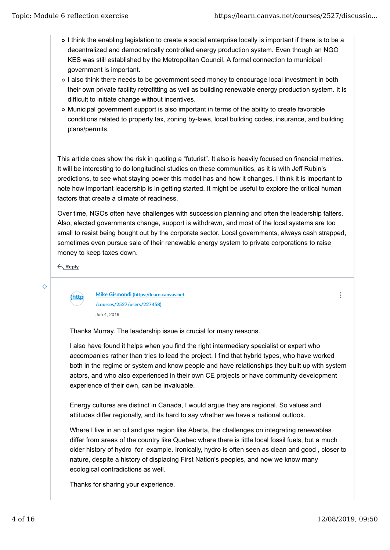- I think the enabling legislation to create a social enterprise locally is important if there is to be a decentralized and democratically controlled energy production system. Even though an NGO KES was still established by the Metropolitan Council. A formal connection to municipal government is important.
- I also think there needs to be government seed money to encourage local investment in both their own private facility retrofitting as well as building renewable energy production system. It is difficult to initiate change without incentives.
- Municipal government support is also important in terms of the ability to create favorable conditions related to property tax, zoning by-laws, local building codes, insurance, and building plans/permits.

This article does show the risk in quoting a "futurist". It also is heavily focused on financial metrics. It will be interesting to do longitudinal studies on these communities, as it is with Jeff Rubin's predictions, to see what staying power this model has and how it changes. I think it is important to note how important leadership is in getting started. It might be useful to explore the critical human factors that create a climate of readiness.

Over time, NGOs often have challenges with succession planning and often the leadership falters. Also, elected governments change, support is withdrawn, and most of the local systems are too small to resist being bought out by the corporate sector. Local governments, always cash strapped, sometimes even pursue sale of their renewable energy system to private corporations to raise money to keep taxes down.

**Reply**

 $\overline{O}$ 

**(https://learn.canvas.net Mike Gismondi (h�ps://learn.canvas.net /courses /courses/2527/users/227458)** Jun 4, 2019

Thanks Murray. The leadership issue is crucial for many reasons.

I also have found it helps when you find the right intermediary specialist or expert who accompanies rather than tries to lead the project. I find that hybrid types, who have worked both in the regime or system and know people and have relationships they built up with system actors, and who also experienced in their own CE projects or have community development experience of their own, can be invaluable.

Energy cultures are distinct in Canada, I would argue they are regional. So values and attitudes differ regionally, and its hard to say whether we have a national outlook.

Where I live in an oil and gas region like Aberta, the challenges on integrating renewables differ from areas of the country like Quebec where there is little local fossil fuels, but a much older history of hydro for example. Ironically, hydro is often seen as clean and good , closer to nature, despite a history of displacing First Nation's peoples, and now we know many ecological contradictions as well.

Thanks for sharing your experience.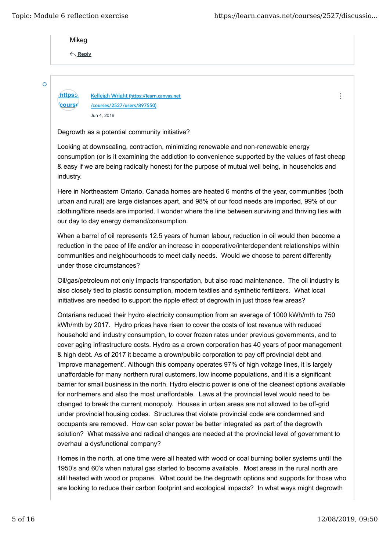*<u>course</u>* 

 $\ddot{\cdot}$ 

Mikeg

**Reply**

Ō

**(https://learn.canvas.net Kelleigh Wright (h�ps://learn.canvas.net /courses/2527/users/897550)** Jun 4, 2019

### Degrowth as a potential community initiative?

Looking at downscaling, contraction, minimizing renewable and non-renewable energy consumption (or is it examining the addiction to convenience supported by the values of fast cheap & easy if we are being radically honest) for the purpose of mutual well being, in households and industry.

Here in Northeastern Ontario, Canada homes are heated 6 months of the year, communities (both urban and rural) are large distances apart, and 98% of our food needs are imported, 99% of our clothing/fibre needs are imported. I wonder where the line between surviving and thriving lies with our day to day energy demand/consumption.

When a barrel of oil represents 12.5 years of human labour, reduction in oil would then become a reduction in the pace of life and/or an increase in cooperative/interdependent relationships within communities and neighbourhoods to meet daily needs. Would we choose to parent differently under those circumstances?

Oil/gas/petroleum not only impacts transportation, but also road maintenance. The oil industry is also closely tied to plastic consumption, modern textiles and synthetic fertilizers. What local initiatives are needed to support the ripple effect of degrowth in just those few areas?

Ontarians reduced their hydro electricity consumption from an average of 1000 kWh/mth to 750 kWh/mth by 2017. Hydro prices have risen to cover the costs of lost revenue with reduced household and industry consumption, to cover frozen rates under previous governments, and to cover aging infrastructure costs. Hydro as a crown corporation has 40 years of poor management & high debt. As of 2017 it became a crown/public corporation to pay off provincial debt and 'improve management'. Although this company operates 97% of high voltage lines, it is largely unaffordable for many northern rural customers, low income populations, and it is a significant barrier for small business in the north. Hydro electric power is one of the cleanest options available for northerners and also the most unaffordable. Laws at the provincial level would need to be changed to break the current monopoly. Houses in urban areas are not allowed to be off-grid under provincial housing codes. Structures that violate provincial code are condemned and occupants are removed. How can solar power be better integrated as part of the degrowth solution? What massive and radical changes are needed at the provincial level of government to overhaul a dysfunctional company?

Homes in the north, at one time were all heated with wood or coal burning boiler systems until the 1950's and 60's when natural gas started to become available. Most areas in the rural north are still heated with wood or propane. What could be the degrowth options and supports for those who are looking to reduce their carbon footprint and ecological impacts? In what ways might degrowth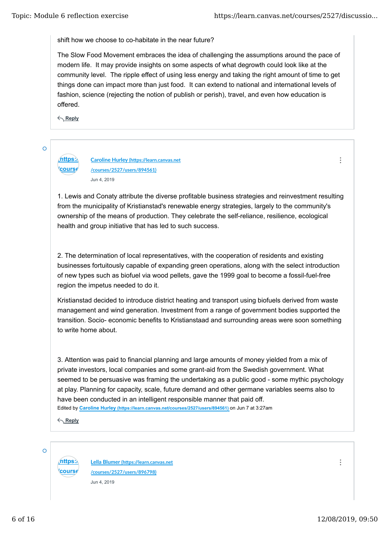shift how we choose to co-habitate in the near future?

The Slow Food Movement embraces the idea of challenging the assumptions around the pace of modern life. It may provide insights on some aspects of what degrowth could look like at the community level. The ripple effect of using less energy and taking the right amount of time to get things done can impact more than just food. It can extend to national and international levels of fashion, science (rejecting the notion of publish or perish), travel, and even how education is offered.

**Reply**

*<u>course</u>* 

Ō

**(https://learn.canvas.net Caroline Hurley (h�ps://learn.canvas.net /courses/2527/users/894561)** Jun 4, 2019

1. Lewis and Conaty attribute the diverse profitable business strategies and reinvestment resulting from the municipality of Kristianstad's renewable energy strategies, largely to the community's ownership of the means of production. They celebrate the self-reliance, resilience, ecological health and group initiative that has led to such success.

2. The determination of local representatives, with the cooperation of residents and existing businesses fortuitously capable of expanding green operations, along with the select introduction of new types such as biofuel via wood pellets, gave the 1999 goal to become a fossil-fuel-free region the impetus needed to do it.

Kristianstad decided to introduce district heating and transport using biofuels derived from waste management and wind generation. Investment from a range of government bodies supported the transition. Socio- economic benefits to Kristianstaad and surrounding areas were soon something to write home about.

Edited by **Caroline Hurley (https://learn.canvas.net/courses/2527/users/894561)** on Jun 7 at 3:27am 3. Attention was paid to financial planning and large amounts of money yielded from a mix of private investors, local companies and some grant-aid from the Swedish government. What seemed to be persuasive was framing the undertaking as a public good - some mythic psychology at play. Planning for capacity, scale, future demand and other germane variables seems also to have been conducted in an intelligent responsible manner that paid off.

**Reply**

 $\overline{O}$ 

*<u>course</u>* 

**(https://learn.canvas.net Lella Blumer (h�ps://learn.canvas.net /courses/2527/users/896798)** Jun 4, 2019

 $\ddot{\cdot}$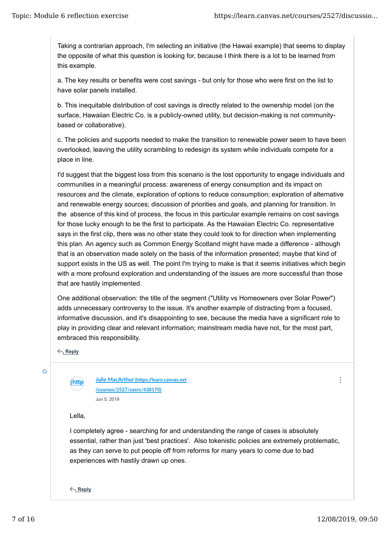Taking a contrarian approach, I'm selecting an initiative (the Hawaii example) that seems to display the opposite of what this question is looking for, because I think there is a lot to be learned from this example.

a. The key results or benefits were cost savings - but only for those who were first on the list to have solar panels installed.

b. This inequitable distribution of cost savings is directly related to the ownership model (on the surface, Hawaiian Electric Co. is a publicly-owned utility, but decision-making is not communitybased or collaborative).

c. The policies and supports needed to make the transition to renewable power seem to have been overlooked, leaving the utility scrambling to redesign its system while individuals compete for a place in line.

I'd suggest that the biggest loss from this scenario is the lost opportunity to engage individuals and communities in a meaningful process: awareness of energy consumption and its impact on resources and the climate, exploration of options to reduce consumption; exploration of alternative and renewable energy sources; discussion of priorities and goals, and planning for transition. In the absence of this kind of process, the focus in this particular example remains on cost savings for those lucky enough to be the first to participate. As the Hawaiian Electric Co. representative says in the first clip, there was no other state they could look to for direction when implementing this plan. An agency such as Common Energy Scotland might have made a difference - although that is an observation made solely on the basis of the information presented; maybe that kind of support exists in the US as well. The point I'm trying to make is that it seems initiatives which begin with a more profound exploration and understanding of the issues are more successful than those that are hastily implemented.

One additional observation: the title of the segment ("Utility vs Homeowners over Solar Power") adds unnecessary controversy to the issue. It's another example of distracting from a focused, informative discussion, and it's disappointing to see, because the media have a significant role to play in providing clear and relevant information; mainstream media have not, for the most part, embraced this responsibility.

**Reply**

 $\circ$ 

**(https://learn.canvas.net Julie MacArthur (h�ps://learn.canvas.net /courses /courses/2527/users/438170)** Jun 5, 2019

Lella,

I completely agree - searching for and understanding the range of cases is absolutely essential, rather than just 'best practices'. Also tokenistic policies are extremely problematic, as they can serve to put people off from reforms for many years to come due to bad experiences with hastily drawn up ones.

**Reply**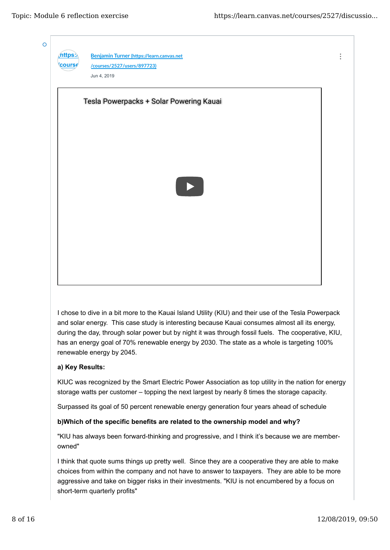

I chose to dive in a bit more to the Kauai Island Utility (KIU) and their use of the Tesla Powerpack and solar energy. This case study is interesting because Kauai consumes almost all its energy, during the day, through solar power but by night it was through fossil fuels. The cooperative, KIU, has an energy goal of 70% renewable energy by 2030. The state as a whole is targeting 100% renewable energy by 2045.

### **a) Key Results:**

KIUC was recognized by the Smart Electric Power Association as top utility in the nation for energy storage watts per customer – topping the next largest by nearly 8 times the storage capacity.

Surpassed its goal of 50 percent renewable energy generation four years ahead of schedule

### **b)Which of the specific benefits are related to the ownership model and why?**

"KIU has always been forward-thinking and progressive, and I think it's because we are memberowned"

I think that quote sums things up pretty well. Since they are a cooperative they are able to make choices from within the company and not have to answer to taxpayers. They are able to be more aggressive and take on bigger risks in their investments. "KIU is not encumbered by a focus on short-term quarterly profits"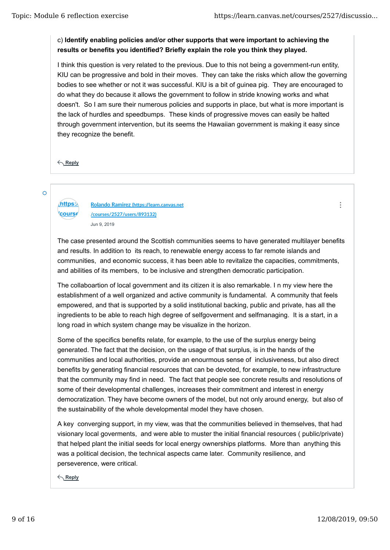# c) **Identify enabling policies and/or other supports that were important to achieving the results or benefits you identified? Briefly explain the role you think they played.**

I think this question is very related to the previous. Due to this not being a government-run entity, KIU can be progressive and bold in their moves. They can take the risks which allow the governing bodies to see whether or not it was successful. KIU is a bit of guinea pig. They are encouraged to do what they do because it allows the government to follow in stride knowing works and what doesn't. So I am sure their numerous policies and supports in place, but what is more important is the lack of hurdles and speedbumps. These kinds of progressive moves can easily be halted through government intervention, but its seems the Hawaiian government is making it easy since they recognize the benefit.

**Reply**

Ō

# **<u>Course</u>**

**(https://learn.canvas.net Rolando Ramirez (h�ps://learn.canvas.net /courses/2527/users/893132)** Jun 9, 2019

The case presented around the Scottish communities seems to have generated multilayer benefits and results. In addition to its reach, to renewable energy access to far remote islands and communities, and economic success, it has been able to revitalize the capacities, commitments, and abilities of its members, to be inclusive and strengthen democratic participation.

The collaboartion of local government and its citizen it is also remarkable. I n my view here the establishment of a well organized and active community is fundamental. A community that feels empowered, and that is supported by a solid institutional backing, public and private, has all the ingredients to be able to reach high degree of selfgoverment and selfmanaging. It is a start, in a long road in which system change may be visualize in the horizon.

Some of the specifics benefits relate, for example, to the use of the surplus energy being generated. The fact that the decision, on the usage of that surplus, is in the hands of the communities and local authorities, provide an enourmous sense of inclusiveness, but also direct benefits by generating financial resources that can be devoted, for example, to new infrastructure that the community may find in need. The fact that people see concrete results and resolutions of some of their developmental challenges, increases their commitment and interest in energy democratization. They have become owners of the model, but not only around energy, but also of the sustainability of the whole developmental model they have chosen.

A key converging support, in my view, was that the communities believed in themselves, that had visionary local goverments, and were able to muster the initial financial resources ( public/private) that helped plant the initial seeds for local energy ownerships platforms. More than anything this was a political decision, the technical aspects came later. Community resilience, and perseverence, were critical.

**Reply**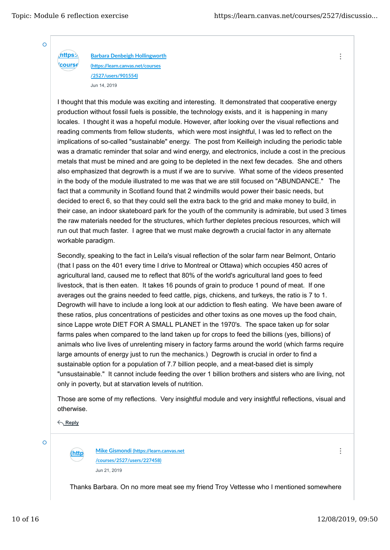**/course** 

 $\ddot{\cdot}$ 

 $\overline{O}$ 

**(https:) Barbara Denbeigh Hollingworth (h�ps://learn.canvas.net/courses /2527/users/901554)** Jun 14, 2019

I thought that this module was exciting and interesting. It demonstrated that cooperative energy production without fossil fuels is possible, the technology exists, and it is happening in many locales. I thought it was a hopeful module. However, after looking over the visual reflections and reading comments from fellow students, which were most insightful, I was led to reflect on the implications of so-called "sustainable" energy. The post from Keilleigh including the periodic table was a dramatic reminder that solar and wind energy, and electronics, include a cost in the precious metals that must be mined and are going to be depleted in the next few decades. She and others also emphasized that degrowth is a must if we are to survive. What some of the videos presented in the body of the module illustrated to me was that we are still focused on "ABUNDANCE." The fact that a community in Scotland found that 2 windmills would power their basic needs, but decided to erect 6, so that they could sell the extra back to the grid and make money to build, in their case, an indoor skateboard park for the youth of the community is admirable, but used 3 times the raw materials needed for the structures, which further depletes precious resources, which will run out that much faster. I agree that we must make degrowth a crucial factor in any alternate workable paradigm.

Secondly, speaking to the fact in Leila's visual reflection of the solar farm near Belmont, Ontario (that I pass on the 401 every time I drive to Montreal or Ottawa) which occupies 450 acres of agricultural land, caused me to reflect that 80% of the world's agricultural land goes to feed livestock, that is then eaten. It takes 16 pounds of grain to produce 1 pound of meat. If one averages out the grains needed to feed cattle, pigs, chickens, and turkeys, the ratio is 7 to 1. Degrowth will have to include a long look at our addiction to flesh eating. We have been aware of these ratios, plus concentrations of pesticides and other toxins as one moves up the food chain, since Lappe wrote DIET FOR A SMALL PLANET in the 1970's. The space taken up for solar farms pales when compared to the land taken up for crops to feed the billions (yes, billions) of animals who live lives of unrelenting misery in factory farms around the world (which farms require large amounts of energy just to run the mechanics.) Degrowth is crucial in order to find a sustainable option for a population of 7.7 billion people, and a meat-based diet is simply "unsustainable." It cannot include feeding the over 1 billion brothers and sisters who are living, not only in poverty, but at starvation levels of nutrition.

Those are some of my reflections. Very insightful module and very insightful reflections, visual and otherwise.

**Reply**

 $\overline{O}$ 

**(https://learn.canvas.net Mike Gismondi (h�ps://learn.canvas.net /courses /courses/2527/users/227458)** Jun 21, 2019

Thanks Barbara. On no more meat see my friend Troy Vettesse who I mentioned somewhere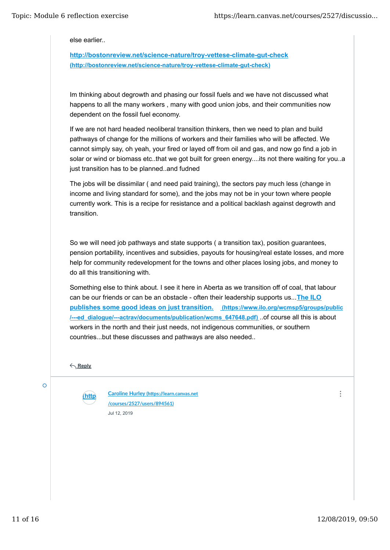else earlier..

**http://bostonreview.net/science-nature/troy-vettese-climate-gut-check (http://bostonreview.net/science-nature/troy-vettese-climate-gut-check)**

Im thinking about degrowth and phasing our fossil fuels and we have not discussed what happens to all the many workers , many with good union jobs, and their communities now dependent on the fossil fuel economy.

If we are not hard headed neoliberal transition thinkers, then we need to plan and build pathways of change for the millions of workers and their families who will be affected. We cannot simply say, oh yeah, your fired or layed off from oil and gas, and now go find a job in solar or wind or biomass etc..that we got built for green energy....its not there waiting for you..a just transition has to be planned..and fudned

The jobs will be dissimilar ( and need paid training), the sectors pay much less (change in income and living standard for some), and the jobs may not be in your town where people currently work. This is a recipe for resistance and a political backlash against degrowth and transition.

So we will need job pathways and state supports ( a transition tax), position guarantees, pension portability, incentives and subsidies, payouts for housing/real estate losses, and more help for community redevelopment for the towns and other places losing jobs, and money to do all this transitioning with.

Something else to think about. I see it here in Aberta as we transition off of coal, that labour can be our friends or can be an obstacle - often their leadership supports us...**The ILO publishes some good ideas on just transition. (https://www.ilo.org/wcmsp5/groups/public /---ed\_dialogue/---actrav/documents/publication/wcms\_647648.pdf)** ..of course all this is about workers in the north and their just needs, not indigenous communities, or southern countries...but these discusses and pathways are also needed..

**Reply**

 $\overline{O}$ 

**(https://learn.canvas.net Caroline Hurley (h�ps://learn.canvas.net /courses /courses/2527/users/894561)** Jul 12, 2019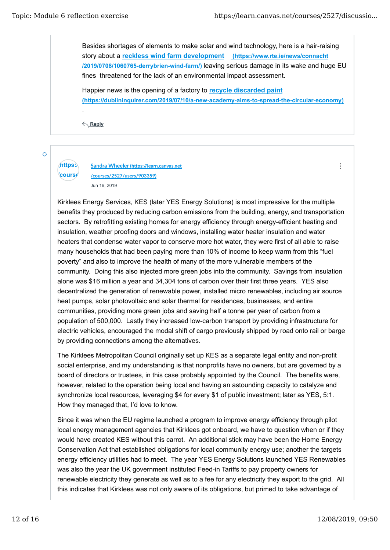$\ddot{\cdot}$ 

Besides shortages of elements to make solar and wind technology, here is a hair-raising story about a **reckless wind farm development (https://www.rte.ie/news/connacht /2019/0708/1060765-derrybrien-wind-farm/)** leaving serious damage in its wake and huge EU fines threatened for the lack of an environmental impact assessment.

Happier news is the opening of a factory to **recycle discarded paint (https://dublininquirer.com/2019/07/10/a-new-academy-aims-to-spread-the-circular-economy)**

**Reply**

.

 $\overline{O}$ 

# *<u>course</u>*

**(https://learn.canvas.net Sandra Wheeler (h�ps://learn.canvas.net /courses/2527/users/903359)** Jun 16, 2019

Kirklees Energy Services, KES (later YES Energy Solutions) is most impressive for the multiple benefits they produced by reducing carbon emissions from the building, energy, and transportation sectors. By retrofitting existing homes for energy efficiency through energy-efficient heating and insulation, weather proofing doors and windows, installing water heater insulation and water heaters that condense water vapor to conserve more hot water, they were first of all able to raise many households that had been paying more than 10% of income to keep warm from this "fuel poverty" and also to improve the health of many of the more vulnerable members of the community. Doing this also injected more green jobs into the community. Savings from insulation alone was \$16 million a year and 34,304 tons of carbon over their first three years. YES also decentralized the generation of renewable power, installed micro renewables, including air source heat pumps, solar photovoltaic and solar thermal for residences, businesses, and entire communities, providing more green jobs and saving half a tonne per year of carbon from a population of 500,000. Lastly they increased low-carbon transport by providing infrastructure for electric vehicles, encouraged the modal shift of cargo previously shipped by road onto rail or barge by providing connections among the alternatives.

The Kirklees Metropolitan Council originally set up KES as a separate legal entity and non-profit social enterprise, and my understanding is that nonprofits have no owners, but are governed by a board of directors or trustees, in this case probably appointed by the Council. The benefits were, however, related to the operation being local and having an astounding capacity to catalyze and synchronize local resources, leveraging \$4 for every \$1 of public investment; later as YES, 5:1. How they managed that, I'd love to know.

Since it was when the EU regime launched a program to improve energy efficiency through pilot local energy management agencies that Kirklees got onboard, we have to question when or if they would have created KES without this carrot. An additional stick may have been the Home Energy Conservation Act that established obligations for local community energy use; another the targets energy efficiency utilities had to meet. The year YES Energy Solutions launched YES Renewables was also the year the UK government instituted Feed-in Tariffs to pay property owners for renewable electricity they generate as well as to a fee for any electricity they export to the grid. All this indicates that Kirklees was not only aware of its obligations, but primed to take advantage of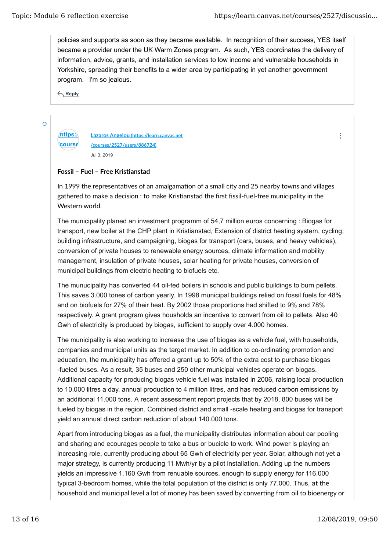$\ddot{\cdot}$ 

policies and supports as soon as they became available. In recognition of their success, YES itself became a provider under the UK Warm Zones program. As such, YES coordinates the delivery of information, advice, grants, and installation services to low income and vulnerable households in Yorkshire, spreading their benefits to a wider area by participating in yet another government program. I'm so jealous.

**Reply**

 $\overline{O}$ 

**/course** 

**(https://learn.canvas.net Lazaros Angelou (h�ps://learn.canvas.net /courses/2527/users/886724)** Jul 3, 2019

## Fossil - Fuel - Free Kristianstad

In 1999 the representatives of an amalgamation of a small city and 25 nearby towns and villages gathered to make a decision : to make Kristianstad the first fissil-fuel-free municipality in the Western world.

The municipality planed an investment programm of 54,7 million euros concerning : Biogas for transport, new boiler at the CHP plant in Kristianstad, Extension of district heating system, cycling, building infrastructure, and campaigning, biogas for transport (cars, buses, and heavy vehicles), conversion of private houses to renewable energy sources, climate information and mobility management, insulation of private houses, solar heating for private houses, conversion of municipal buildings from electric heating to biofuels etc.

The munucipality has converted 44 oil-fed boilers in schools and public buildings to burn pellets. This saves 3.000 tones of carbon yearly. In 1998 municipal buildings relied on fossil fuels for 48% and on biofuels for 27% of their heat. By 2002 those proportions had shifted to 9% and 78% respectively. A grant program gives housholds an incentive to convert from oil to pellets. Also 40 Gwh of electricity is produced by biogas, sufficient to supply over 4.000 homes.

The municipality is also working to increase the use of biogas as a vehicle fuel, with households, companies and municipal units as the target market. In addition to co-ordinating promotion and education, the municipality has offered a grant up to 50% of the extra cost to purchase biogas -fueled buses. As a result, 35 buses and 250 other municipal vehicles operate on biogas. Additional capacity for producing biogas vehicle fuel was installed in 2006, raising local production to 10.000 litres a day, annual production to 4 million litres, and has reduced carbon emissions by an additional 11.000 tons. A recent assessment report projects that by 2018, 800 buses will be fueled by biogas in the region. Combined district and small -scale heating and biogas for transport yield an annual direct carbon reduction of about 140.000 tons.

Apart from introducing biogas as a fuel, the municipality distributes information about car pooling and sharing and ecourages people to take a bus or bucicle to work. Wind power is playing an increasing role, currently producing about 65 Gwh of electricity per year. Solar, although not yet a major strategy, is currently producing 11 Mwh/yr by a pilot installation. Adding up the numbers yields an impressive 1.160 Gwh from renuable sources, enough to supply energy for 116.000 typical 3-bedroom homes, while the total population of the district is only 77.000. Thus, at the household and municipal level a lot of money has been saved by converting from oil to bioenergy or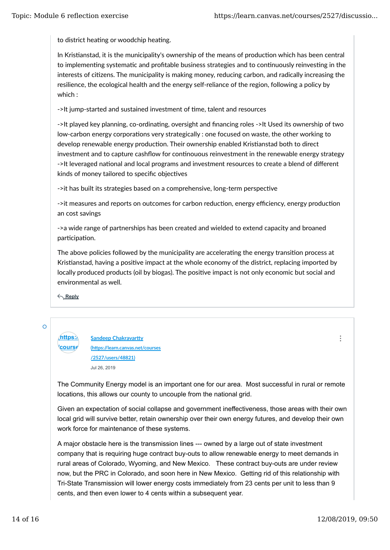to district heating or woodchip heating.

In Kristianstad, it is the municipality's ownership of the means of production which has been central to implementing systematic and profitable business strategies and to continuously reinvesting in the interests of citizens. The municipality is making money, reducing carbon, and radically increasing the resilience, the ecological health and the energy self-reliance of the region, following a policy by which :

->It jump-started and sustained investment of time, talent and resources

->It played key planning, co-ordinating, oversight and financing roles ->It Used its ownership of two low-carbon energy corporations very strategically : one focused on waste, the other working to develop renewable energy production. Their ownership enabled Kristianstad both to direct investment and to capture cashflow for continouous reinvestment in the renewable energy strategy ->It leveraged national and local programs and investment resources to create a blend of different kinds of money tailored to specific objectives

->it has built its strategies based on a comprehensive, long-term perspective

->it measures and reports on outcomes for carbon reduction, energy efficiency, energy production an cost savings

->a wide range of partnerships has been created and wielded to extend capacity and broaned participation.

The above policies followed by the municipality are accelerating the energy transition process at Kristianstad, having a positive impact at the whole economy of the district, replacing imported by locally produced products (oil by biogas). The positive impact is not only economic but social and environmental as well.

**Reply**

 $\circ$ 

**(https:** Sandeep Chakravartty *<u>course</u>* **(h�ps://learn.canvas.net/courses /2527/users/48821)** Jul 26, 2019

The Community Energy model is an important one for our area. Most successful in rural or remote locations, this allows our county to uncouple from the national grid.

Given an expectation of social collapse and government ineffectiveness, those areas with their own local grid will survive better, retain ownership over their own energy futures, and develop their own work force for maintenance of these systems.

A major obstacle here is the transmission lines --- owned by a large out of state investment company that is requiring huge contract buy-outs to allow renewable energy to meet demands in rural areas of Colorado, Wyoming, and New Mexico. These contract buy-outs are under review now, but the PRC in Colorado, and soon here in New Mexico. Getting rid of this relationship with Tri-State Transmission will lower energy costs immediately from 23 cents per unit to less than 9 cents, and then even lower to 4 cents within a subsequent year.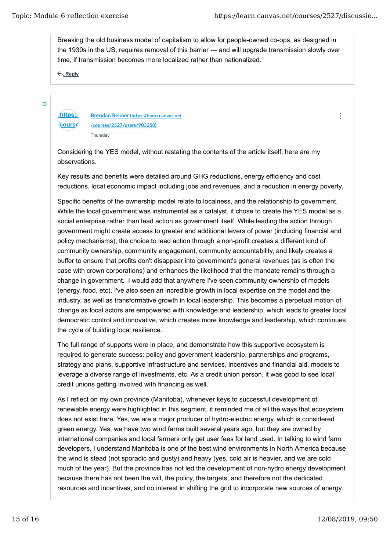$\ddot{\cdot}$ 

Breaking the old business model of capitalism to allow for people-owned co-ops, as designed in the 1930s in the US, requires removal of this barrier --- and will upgrade transmission slowly over time, if transmission becomes more localized rather than nationalized.

**Reply**

 $\overline{O}$ 

*<u>course</u>* 

**(https://learn.canvas.net Brendan Reimer (h�ps://learn.canvas.net /courses/2527/users/903250) Thursday** 

Considering the YES model, without restating the contents of the article itself, here are my observations.

Key results and benefits were detailed around GHG reductions, energy efficiency and cost reductions, local economic impact including jobs and revenues, and a reduction in energy poverty.

Specific benefits of the ownership model relate to localness, and the relationship to government. While the local government was instrumental as a catalyst, it chose to create the YES model as a social enterprise rather than lead action as government itself. While leading the action through government might create access to greater and additional levers of power (including financial and policy mechanisms), the choice to lead action through a non-profit creates a different kind of community ownership, community engagement, community accountability, and likely creates a buffer to ensure that profits don't disappear into government's general revenues (as is often the case with crown corporations) and enhances the likelihood that the mandate remains through a change in government. I would add that anywhere I've seen community ownership of models (energy, food, etc), I've also seen an incredible growth in local expertise on the model and the industry, as well as transformative growth in local leadership. This becomes a perpetual motion of change as local actors are empowered with knowledge and leadership, which leads to greater local democratic control and innovative, which creates more knowledge and leadership, which continues the cycle of building local resilience.

The full range of supports were in place, and demonstrate how this supportive ecosystem is required to generate success: policy and government leadership, partnerships and programs, strategy and plans, supportive infrastructure and services, incentives and financial aid, models to leverage a diverse range of investments, etc. As a credit union person, it was good to see local credit unions getting involved with financing as well.

As I reflect on my own province (Manitoba), whenever keys to successful development of renewable energy were highlighted in this segment, it reminded me of all the ways that ecosystem does not exist here. Yes, we are a major producer of hydro-electric energy, which is considered green energy. Yes, we have two wind farms built several years ago, but they are owned by international companies and local farmers only get user fees for land used. In talking to wind farm developers, I understand Manitoba is one of the best wind environments in North America because the wind is stead (not sporadic and gusty) and heavy (yes, cold air is heavier, and we are cold much of the year). But the province has not led the development of non-hydro energy development because there has not been the will, the policy, the targets, and therefore not the dedicated resources and incentives, and no interest in shifting the grid to incorporate new sources of energy.